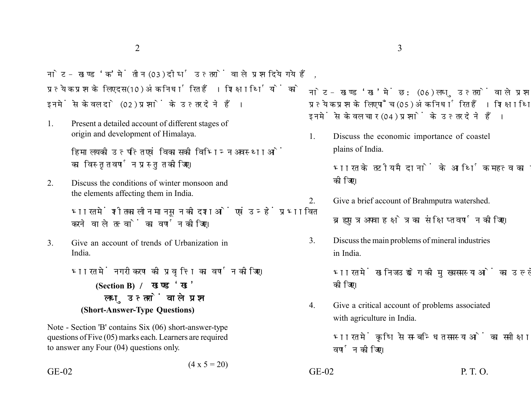नोट- खण्ड 'क' में तीन (03) दीर्घ उत्तरों वाले प्रश्न दिये गये हैं. प्रत्येक प्रश्न के लिए दस (10) अंक निर्धारित हैं। शिक्षार्थियों को इनमें से केवल दो (02) प्रश्नों के उत्तर देने हैं।

1. Present a detailed account of different stages of origin and development of Himalaya.

> हिमालय की उत्पत्ति एवं विकास की विभिन्न अवस्थाओं का विस्तत वर्णन प्रस्तत कीजिए।

2. Discuss the conditions of winter monsoon and the elements affecting them in India.

> भारत में शीतकालीन मानसन की दशाओं एवं उन्हें प्रभावित करने वाले तत्वों का वर्णन कीजिए।

3. Give an account of trends of Urbanization in India.

> भारत में नगरीकरण की प्रवृत्ति का वर्णन कीजिए। **(Section B)**  लघु उत्तरों वाले प्रश्न **(Short-Answer-Type Questions)**

Note - Section 'B' contains Six (06) short-answer-type questions of Five (05) marks each. Learners are required to answer any Four (04) questions only.

 $(4 \times 5 = 20)$ 

नोट- खण्ड 'ख' में छ: (06) लघु उत्तरों वाले प्रश्न दिये गये हैं, प्रत्येक प्रश्न के लिए पाँच (05) अंक निर्धारित हैं। शिक्षार्थियों को इनमें से केवल चार (04) प्रश्नों के उत्तर देने हैं।

1. Discuss the economic importance of coastel plains of India.

> भारत के तटीय मैदानों के आर्थिक महत्व का उल्लेख कोजिए।

2. Give a brief account of Brahmputra watershed.

ब्रह्मपुत्र अपवाह क्षेत्र का संक्षिप्त वर्णन कीजिए।

3. Discuss the main problems of mineral industries in India.

> भारत में खनिज उद्योग की मुख्य समस्याओं का उल्लेख कोजिए।

4. Give a critical account of problems associated with agriculture in India.

> भारत में कृषि से सम्बन्धित समस्याओं का समीक्षात्मक वर्णन कीजिए।

 $GE-02$  P. T. O.